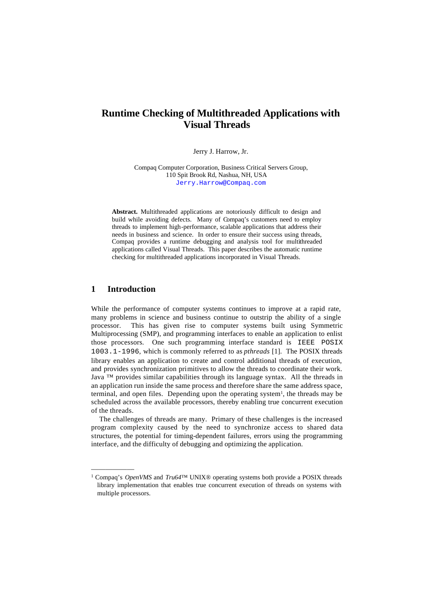# **Runtime Checking of Multithreaded Applications with Visual Threads**

Jerry J. Harrow, Jr.

Compaq Computer Corporation, Business Critical Servers Group, 110 Spit Brook Rd, Nashua, NH, USA Jerry.Harrow@Compaq.com

**Abstract.** Multithreaded applications are notoriously difficult to design and build while avoiding defects. Many of Compaq's customers need to employ threads to implement high-performance, scalable applications that address their needs in business and science. In order to ensure their success using threads, Compaq provides a runtime debugging and analysis tool for multithreaded applications called Visual Threads. This paper describes the automatic runtime checking for multithreaded applications incorporated in Visual Threads.

## **1 Introduction**

——————

While the performance of computer systems continues to improve at a rapid rate, many problems in science and business continue to outstrip the ability of a single processor. This has given rise to computer systems built using Symmetric Multiprocessing (SMP), and programming interfaces to enable an application to enlist those processors. One such programming interface standard is IEEE POSIX 1003.1-1996, which is commonly referred to as *pthreads* [1]. The POSIX threads library enables an application to create and control additional threads of execution, and provides synchronization primitives to allow the threads to coordinate their work. Java ™ provides similar capabilities through its language syntax. All the threads in an application run inside the same process and therefore share the same address space, terminal, and open files. Depending upon the operating system<sup>1</sup>, the threads may be scheduled across the available processors, thereby enabling true concurrent execution of the threads.

The challenges of threads are many. Primary of these challenges is the increased program complexity caused by the need to synchronize access to shared data structures, the potential for timing-dependent failures, errors using the programming interface, and the difficulty of debugging and optimizing the application.

<sup>1</sup> Compaq's *OpenVMS* and *Tru64*™ UNIX® operating systems both provide a POSIX threads library implementation that enables true concurrent execution of threads on systems with multiple processors.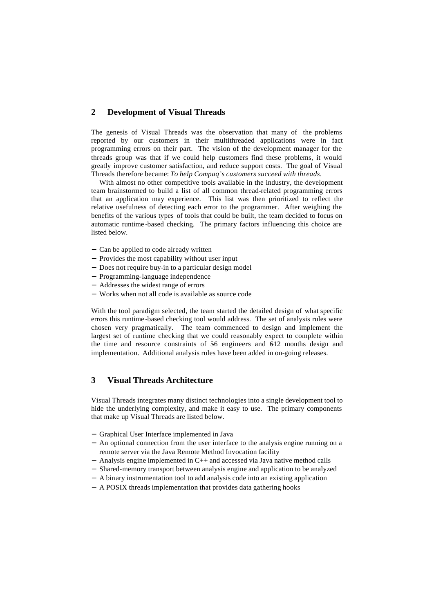# **2 Development of Visual Threads**

The genesis of Visual Threads was the observation that many of the problems reported by our customers in their multithreaded applications were in fact programming errors on their part. The vision of the development manager for the threads group was that if we could help customers find these problems, it would greatly improve customer satisfaction, and reduce support costs. The goal of Visual Threads therefore became: *To help Compaq's customers succeed with threads*.

With almost no other competitive tools available in the industry, the development team brainstormed to build a list of all common thread-related programming errors that an application may experience. This list was then prioritized to reflect the relative usefulness of detecting each error to the programmer. After weighing the benefits of the various types of tools that could be built, the team decided to focus on automatic runtime -based checking. The primary factors influencing this choice are listed below.

- − Can be applied to code already written
- − Provides the most capability without user input
- − Does not require buy-in to a particular design model
- − Programming-language independence
- − Addresses the widest range of errors
- − Works when not all code is available as source code

With the tool paradigm selected, the team started the detailed design of what specific errors this runtime -based checking tool would address. The set of analysis rules were chosen very pragmatically. The team commenced to design and implement the largest set of runtime checking that we could reasonably expect to complete within the time and resource constraints of  $56$  engineers and  $612$  months design and implementation. Additional analysis rules have been added in on-going releases.

# **3 Visual Threads Architecture**

Visual Threads integrates many distinct technologies into a single development tool to hide the underlying complexity, and make it easy to use. The primary components that make up Visual Threads are listed below.

- − Graphical User Interface implemented in Java
- − An optional connection from the user interface to the analysis engine running on a remote server via the Java Remote Method Invocation facility
- − Analysis engine implemented in C++ and accessed via Java native method calls
- − Shared-memory transport between analysis engine and application to be analyzed
- − A binary instrumentation tool to add analysis code into an existing application
- − A POSIX threads implementation that provides data gathering hooks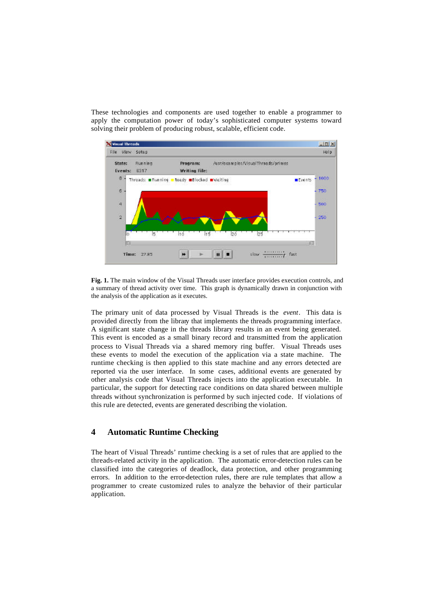These technologies and components are used together to enable a programmer to apply the computation power of today's sophisticated computer systems toward solving their problem of producing robust, scalable, efficient code.



**Fig. 1.** The main window of the Visual Threads user interface provides execution controls, and a summary of thread activity over time. This graph is dynamically drawn in conjunction with the analysis of the application as it executes.

The primary unit of data processed by Visual Threads is the *event*. This data is provided directly from the library that implements the threads programming interface. A significant state change in the threads library results in an event being generated. This event is encoded as a small binary record and transmitted from the application process to Visual Threads via a shared memory ring buffer. Visual Threads uses these events to model the execution of the application via a state machine. The runtime checking is then applied to this state machine and any errors detected are reported via the user interface. In some cases, additional events are generated by other analysis code that Visual Threads injects into the application executable. In particular, the support for detecting race conditions on data shared between multiple threads without synchronization is performed by such injected code. If violations of this rule are detected, events are generated describing the violation.

# **4 Automatic Runtime Checking**

The heart of Visual Threads' runtime checking is a set of rules that are applied to the threads-related activity in the application. The automatic error-detection rules can be classified into the categories of deadlock, data protection, and other programming errors. In addition to the error-detection rules, there are rule templates that allow a programmer to create customized rules to analyze the behavior of their particular application.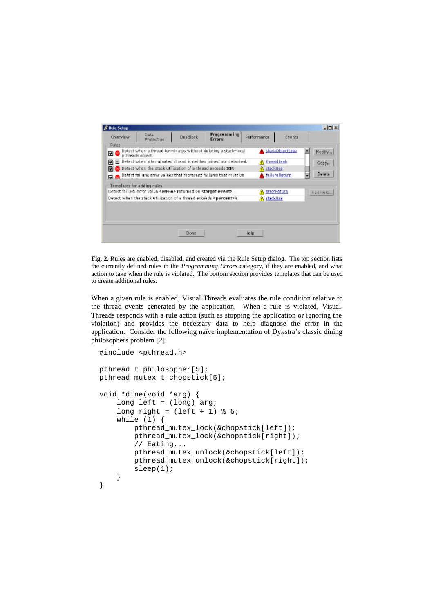| <b>Overview</b>            | Data<br>Protection                                                                                                                   | Deadlock | Programming<br>Errors                                             | Performance   | Events          |             |
|----------------------------|--------------------------------------------------------------------------------------------------------------------------------------|----------|-------------------------------------------------------------------|---------------|-----------------|-------------|
| <b>Rules</b>               |                                                                                                                                      |          |                                                                   |               |                 |             |
| ₩                          | athreads object.                                                                                                                     |          | Datact when a thread terminates without deleting a stade-local    |               | stackObjectLeak | E<br>Modify |
|                            |                                                                                                                                      |          | Detect when a terminated thread is neither joined nor detached.   | A thread leak |                 | COP         |
|                            | <b>R</b> Detect when the stack utilization of a thread exceeds 99%.                                                                  |          |                                                                   | A stackuse    |                 |             |
|                            |                                                                                                                                      |          | Detect failure: error values that represent failures that must be |               | tailure Return  | Delete<br>Ξ |
| Templates for adding rules | Detect failure: error value Kerrno> returned on Ktarget event>,<br>Detect when the stack utilization of a thread exceeds opercent>%. |          |                                                                   | A stacklise   | errorReturn     | 在小小RULL.    |
|                            |                                                                                                                                      |          |                                                                   |               |                 |             |
|                            |                                                                                                                                      |          |                                                                   |               |                 |             |
|                            |                                                                                                                                      |          |                                                                   | Help          |                 |             |

**Fig. 2.** Rules are enabled, disabled, and created via the Rule Setup dialog. The top section lists the currently defined rules in the *Programming Errors* category, if they are enabled, and what action to take when the rule is violated. The bottom section provides templates that can be used to create additional rules.

When a given rule is enabled, Visual Threads evaluates the rule condition relative to the thread events generated by the application. When a rule is violated, Visual Threads responds with a rule action (such as stopping the application or ignoring the violation) and provides the necessary data to help diagnose the error in the application. Consider the following naïve implementation of Dykstra's classic dining philosophers problem [2].

```
#include <pthread.h>
pthread_t philosopher[5];
pthread_mutex_t chopstick[5];
void *dine(void *arg) {
    long left = (long) arg;
    long right = (\text{left} + 1) % 5;
    while (1) {
         pthread_mutex_lock(&chopstick[left]);
         pthread_mutex_lock(&chopstick[right]);
         // Eating...
         pthread_mutex_unlock(&chopstick[left]);
         pthread_mutex_unlock(&chopstick[right]);
         sleep(1);
     }
}
```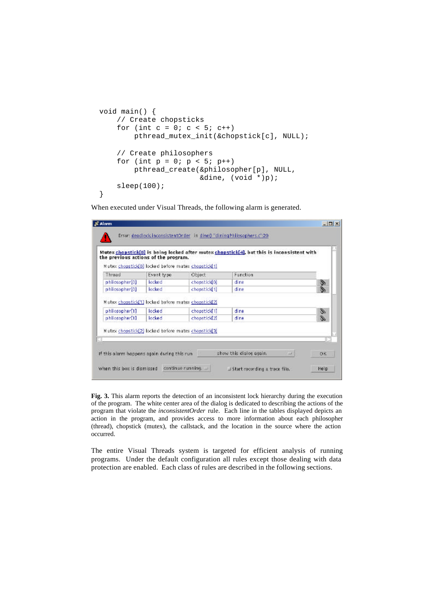```
void main() {
     // Create chopsticks
    for (int c = 0; c < 5; c++)
         pthread_mutex_init(&chopstick[c], NULL);
     // Create philosophers
    for (int p = 0; p < 5; p++)
         pthread_create(&philosopher[p], NULL, 
                         &dine, (void *)p);
    sleep(100);}
```
When executed under Visual Threads, the following alarm is generated.

|                | the previous actions of the program.<br>Nutex chopstick(0) locked before mutex chopstick(1) |              |          |    |
|----------------|---------------------------------------------------------------------------------------------|--------------|----------|----|
| Thread         | Event type                                                                                  | Object       | Function |    |
| philosopher[0] | lacked                                                                                      | chapstick[0] | dine     | \$ |
| philosopher[0] | lacked                                                                                      | chopstick[1] | dine     | Ģ. |
| philosopher[1] | Nutex choostick(1) locked before mutex choostick(2)<br>locked                               | chopstick[1] | dine     | 医  |
| philosopher[1] | locked                                                                                      | chopstick[2] | dine     | 强  |
|                | Nutex chopstick(2) locked before mutex chopstick(3)                                         |              |          |    |

**Fig. 3.** This alarm reports the detection of an inconsistent lock hierarchy during the execution of the program. The white center area of the dialog is dedicated to describing the actions of the program that violate the *inconsistentOrder* rule. Each line in the tables displayed depicts an action in the program, and provides access to more information about each philosopher (thread), chopstick (mutex), the callstack, and the location in the source where the action occurred.

The entire Visual Threads system is targeted for efficient analysis of running programs. Under the default configuration all rules except those dealing with data protection are enabled. Each class of rules are described in the following sections.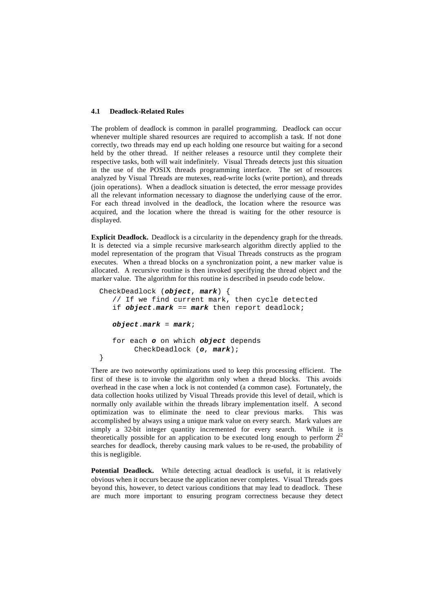#### **4.1 Deadlock-Related Rules**

The problem of deadlock is common in parallel programming. Deadlock can occur whenever multiple shared resources are required to accomplish a task. If not done correctly, two threads may end up each holding one resource but waiting for a second held by the other thread. If neither releases a resource until they complete their respective tasks, both will wait indefinitely. Visual Threads detects just this situation in the use of the POSIX threads programming interface. The set of resources analyzed by Visual Threads are mutexes, read-write locks (write portion), and threads (join operations). When a deadlock situation is detected, the error message provides all the relevant information necessary to diagnose the underlying cause of the error. For each thread involved in the deadlock, the location where the resource was acquired, and the location where the thread is waiting for the other resource is displayed.

**Explicit Deadlock.** Deadlock is a circularity in the dependency graph for the threads. It is detected via a simple recursive mark-search algorithm directly applied to the model representation of the program that Visual Threads constructs as the program executes. When a thread blocks on a synchronization point, a new marker value is allocated. A recursive routine is then invoked specifying the thread object and the marker value. The algorithm for this routine is described in pseudo code below.

```
CheckDeadlock (object, mark) {
    // If we find current mark, then cycle detected
    if object.mark == mark then report deadlock;
    object.mark = mark;
    for each o on which object depends
         CheckDeadlock (o, mark);
}
```
There are two noteworthy optimizations used to keep this processing efficient. The first of these is to invoke the algorithm only when a thread blocks. This avoids overhead in the case when a lock is not contended (a common case). Fortunately, the data collection hooks utilized by Visual Threads provide this level of detail, which is normally only available within the threads library implementation itself. A second optimization was to eliminate the need to clear previous marks. This was accomplished by always using a unique mark value on every search. Mark values are simply a 32-bit integer quantity incremented for every search. While it is theoretically possible for an application to be executed long enough to perform  $2^{2}$ searches for deadlock, thereby causing mark values to be re-used, the probability of this is negligible.

**Potential Deadlock.** While detecting actual deadlock is useful, it is relatively obvious when it occurs because the application never completes. Visual Threads goes beyond this, however, to detect various conditions that may lead to deadlock. These are much more important to ensuring program correctness because they detect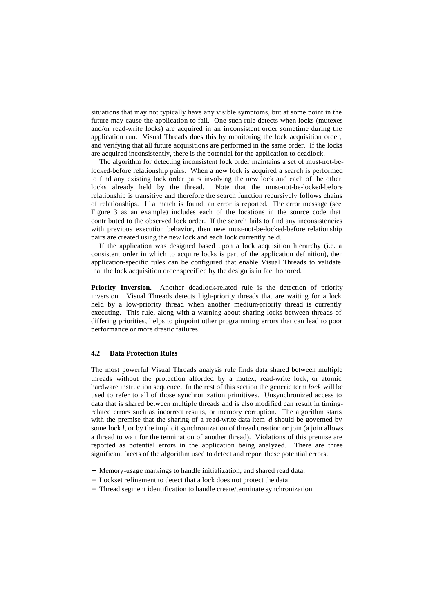situations that may not typically have any visible symptoms, but at some point in the future may cause the application to fail. One such rule detects when locks (mutexes and/or read-write locks) are acquired in an inconsistent order sometime during the application run. Visual Threads does this by monitoring the lock acquisition order, and verifying that all future acquisitions are performed in the same order. If the locks are acquired inconsistently, there is the potential for the application to deadlock.

The algorithm for detecting inconsistent lock order maintains a set of must-not-belocked-before relationship pairs. When a new lock is acquired a search is performed to find any existing lock order pairs involving the new lock and each of the other locks already held by the thread. Note that the must-not-be-locked-before relationship is transitive and therefore the search function recursively follows chains of relationships. If a match is found, an error is reported. The error message (see Figure 3 as an example) includes each of the locations in the source code that contributed to the observed lock order. If the search fails to find any inconsistencies with previous execution behavior, then new must-not-be-locked-before relationship pairs are created using the new lock and each lock currently held.

If the application was designed based upon a lock acquisition hierarchy (i.e. a consistent order in which to acquire locks is part of the application definition), then application-specific rules can be configured that enable Visual Threads to validate that the lock acquisition order specified by the design is in fact honored.

**Priority Inversion.** Another deadlock-related rule is the detection of priority inversion. Visual Threads detects high-priority threads that are waiting for a lock held by a low-priority thread when another medium-priority thread is currently executing. This rule, along with a warning about sharing locks between threads of differing priorities, helps to pinpoint other programming errors that can lead to poor performance or more drastic failures.

## **4.2 Data Protection Rules**

The most powerful Visual Threads analysis rule finds data shared between multiple threads without the protection afforded by a mutex, read-write lock, or atomic hardware instruction sequence. In the rest of this section the generic term *lock* will be used to refer to all of those synchronization primitives. Unsynchronized access to data that is shared between multiple threads and is also modified can result in timingrelated errors such as incorrect results, or memory corruption. The algorithm starts with the premise that the sharing of a read-write data item *d* should be governed by some lock *l*, or by the implicit synchronization of thread creation or join (a join allows a thread to wait for the termination of another thread). Violations of this premise are reported as potential errors in the application being analyzed. There are three significant facets of the algorithm used to detect and report these potential errors.

- − Memory-usage markings to handle initialization, and shared read data.
- − Lockset refinement to detect that a lock does not protect the data.
- − Thread segment identification to handle create/terminate synchronization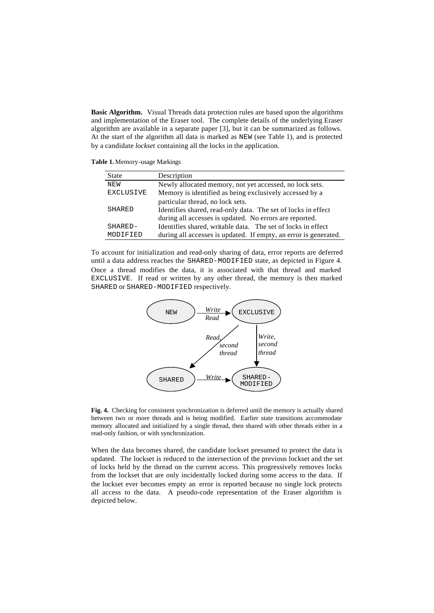**Basic Algorithm.** Visual Threads data protection rules are based upon the algorithms and implementation of the Eraser tool. The complete details of the underlying Eraser algorithm are available in a separate paper [3], but it can be summarized as follows. At the start of the algorithm all data is marked as NEW (see Table 1), and is protected by a candidate *lockset* containing all the locks in the application.

**Table 1.** Memory-usage Markings

| <b>State</b>     | Description                                                      |
|------------------|------------------------------------------------------------------|
| NEW              | Newly allocated memory, not yet accessed, no lock sets.          |
| <b>EXCLUSIVE</b> | Memory is identified as being exclusively accessed by a          |
|                  | particular thread, no lock sets.                                 |
| SHARED           | Identifies shared, read-only data. The set of locks in effect    |
|                  | during all accesses is updated. No errors are reported.          |
| SHARED-          | Identifies shared, writable data. The set of locks in effect     |
| MODIFIED         | during all accesses is updated. If empty, an error is generated. |

To account for initialization and read-only sharing of data, error reports are deferred until a data address reaches the SHARED-MODIFIED state, as depicted in Figure 4. Once a thread modifies the data, it is associated with that thread and marked EXCLUSIVE. If read or written by any other thread, the memory is then marked SHARED or SHARED-MODIFIED respectively.



**Fig. 4.** Checking for consistent synchronization is deferred until the memory is actually shared between two or more threads and is being modified. Earlier state transitions accommodate memory allocated and initialized by a single thread, then shared with other threads either in a read-only fashion, or with synchronization.

When the data becomes shared, the candidate lockset presumed to protect the data is updated. The lockset is reduced to the intersection of the previous lockset and the set of locks held by the thread on the current access. This progressively removes locks from the lockset that are only incidentally locked during some access to the data. If the lockset ever becomes empty an error is reported because no single lock protects all access to the data. A pseudo-code representation of the Eraser algorithm is depicted below.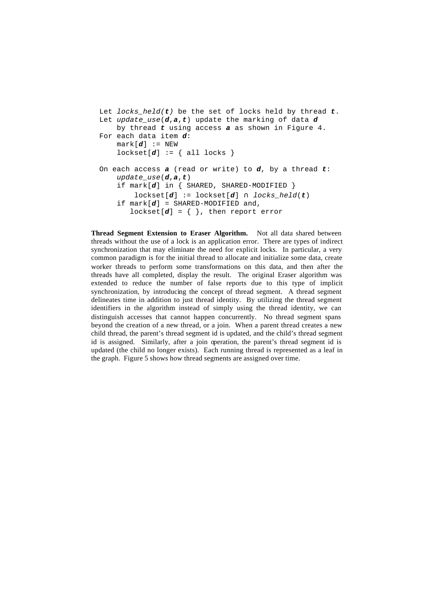```
Let locks_held(t) be the set of locks held by thread t.
Let update_use(d,a,t) update the marking of data d
     by thread t using access a as shown in Figure 4. 
For each data item d:
    mark[<b>d</b>] := NEWlockset[d] := \{ all locks \}On each access a (read or write) to d, by a thread t:
     update_use(d,a,t)
     if mark[d] in { SHARED, SHARED-MODIFIED }
         lockset[d] := lockset[d] ∩ locks_held(t)
     if mark[d] = SHARED-MODIFIED and,
       lockset[\mathbf{d}] = \{\}, then report error
```
**Thread Segment Extension to Eraser Algorithm.** Not all data shared between threads without the use of a lock is an application error. There are types of indirect synchronization that may eliminate the need for explicit locks. In particular, a very common paradigm is for the initial thread to allocate and initialize some data, create worker threads to perform some transformations on this data, and then after the threads have all completed, display the result. The original Eraser algorithm was extended to reduce the number of false reports due to this type of implicit synchronization, by introducing the concept of thread segment. A thread segment delineates time in addition to just thread identity. By utilizing the thread segment identifiers in the algorithm instead of simply using the thread identity, we can distinguish accesses that cannot happen concurrently. No thread segment spans beyond the creation of a new thread, or a join. When a parent thread creates a new child thread, the parent's thread segment id is updated, and the child's thread segment id is assigned. Similarly, after a join operation, the parent's thread segment id is updated (the child no longer exists). Each running thread is represented as a leaf in the graph. Figure 5 shows how thread segments are assigned over time.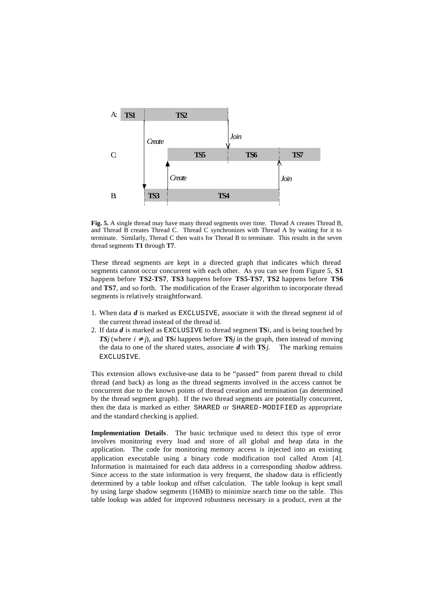

**Fig. 5.** A single thread may have many thread segments over time. Thread A creates Thread B, and Thread B creates Thread C. Thread C synchronizes with Thread A by waiting for it to terminate. Similarly, Thread C then waits for Thread B to terminate. This results in the seven thread segments **T1** through **T7**.

These thread segments are kept in a directed graph that indicates which thread segments cannot occur concurrent with each other. As you can see from Figure 5, **S1** happens before **TS2**-**TS7**, **TS3** happens before **TS5**-**TS7**, **TS2** happens before **TS6** and **TS7**, and so forth. The modification of the Eraser algorithm to incorporate thread segments is relatively straightforward.

- 1. When data *d* is marked as EXCLUSIVE, associate it with the thread segment id of the current thread instead of the thread id.
- 2. If data *d* is marked as EXCLUSIVE to thread segment **TS***i*, and is being touched by *TSj* (where  $i \neq j$ ), and **TS***i* happens before **TS***j* in the graph, then instead of moving the data to one of the shared states, associate  $d$  with  $\overline{\text{TS}}$ *j*. The marking remains EXCLUSIVE.

This extension allows exclusive-use data to be "passed" from parent thread to child thread (and back) as long as the thread segments involved in the access cannot be concurrent due to the known points of thread creation and termination (as determined by the thread segment graph). If the two thread segments are potentially concurrent, then the data is marked as either SHARED or SHARED-MODIFIED as appropriate and the standard checking is applied.

**Implementation Details**. The basic technique used to detect this type of error involves monitoring every load and store of all global and heap data in the application. The code for monitoring memory access is injected into an existing application executable using a binary code modification tool called Atom [4]. Information is maintained for each data address in a corresponding *shadow* address. Since access to the state information is very frequent, the shadow data is efficiently determined by a table lookup and offset calculation. The table lookup is kept small by using large shadow segments (16MB) to minimize search time on the table. This table lookup was added for improved robustness necessary in a product, even at the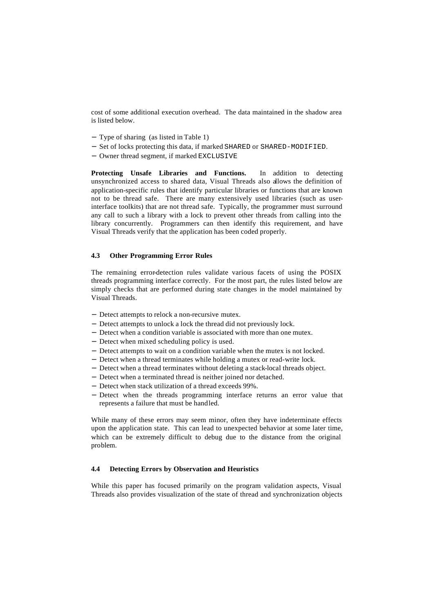cost of some additional execution overhead. The data maintained in the shadow area is listed below.

- − Type of sharing (as listed in Table 1)
- − Set of locks protecting this data, if marked SHARED or SHARED-MODIFIED.
- − Owner thread segment, if marked EXCLUSIVE

**Protecting Unsafe Libraries and Functions.** In addition to detecting unsynchronized access to shared data, Visual Threads also allows the definition of application-specific rules that identify particular libraries or functions that are known not to be thread safe. There are many extensively used libraries (such as userinterface toolkits) that are not thread safe. Typically, the programmer must surround any call to such a library with a lock to prevent other threads from calling into the library concurrently. Programmers can then identify this requirement, and have Visual Threads verify that the application has been coded properly.

### **4.3 Other Programming Error Rules**

The remaining error-detection rules validate various facets of using the POSIX threads programming interface correctly. For the most part, the rules listed below are simply checks that are performed during state changes in the model maintained by Visual Threads.

- − Detect attempts to relock a non-recursive mutex.
- − Detect attempts to unlock a lock the thread did not previously lock.
- − Detect when a condition variable is associated with more than one mutex.
- − Detect when mixed scheduling policy is used.
- − Detect attempts to wait on a condition variable when the mutex is not locked.
- − Detect when a thread terminates while holding a mutex or read-write lock.
- − Detect when a thread terminates without deleting a stack-local threads object.
- − Detect when a terminated thread is neither joined nor detached.
- − Detect when stack utilization of a thread exceeds 99%.
- − Detect when the threads programming interface returns an error value that represents a failure that must be handled.

While many of these errors may seem minor, often they have indeterminate effects upon the application state. This can lead to unexpected behavior at some later time, which can be extremely difficult to debug due to the distance from the original problem.

### **4.4 Detecting Errors by Observation and Heuristics**

While this paper has focused primarily on the program validation aspects, Visual Threads also provides visualization of the state of thread and synchronization objects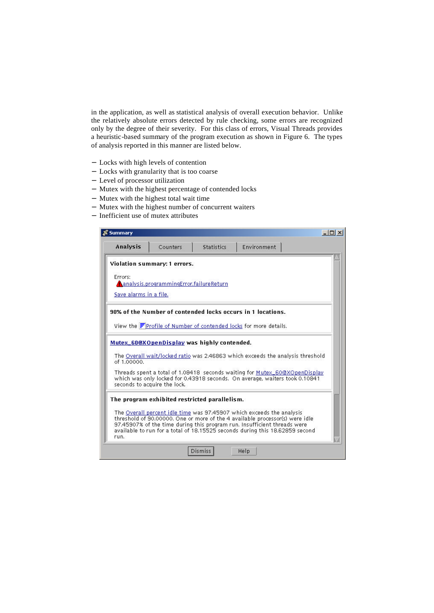in the application, as well as statistical analysis of overall execution behavior. Unlike the relatively absolute errors detected by rule checking, some errors are recognized only by the degree of their severity. For this class of errors, Visual Threads provides a heuristic-based summary of the program execution as shown in Figure 6. The types of analysis reported in this manner are listed below.

- − Locks with high levels of contention
- − Locks with granularity that is too coarse
- − Level of processor utilization
- − Mutex with the highest percentage of contended locks
- − Mutex with the highest total wait time
- − Mutex with the highest number of concurrent waiters
- − Inefficient use of mutex attributes

| X Summary              |                                                                                                                                                                                                                                                                                                                   |                   |             | $ \Box$ $\times$                                                                                                                                             |
|------------------------|-------------------------------------------------------------------------------------------------------------------------------------------------------------------------------------------------------------------------------------------------------------------------------------------------------------------|-------------------|-------------|--------------------------------------------------------------------------------------------------------------------------------------------------------------|
| Analysis               | Counters                                                                                                                                                                                                                                                                                                          | <b>Statistics</b> | Environment |                                                                                                                                                              |
|                        | Violation summary: 1 errors.                                                                                                                                                                                                                                                                                      |                   |             |                                                                                                                                                              |
| Errors:                | Aanalysis.programmingError.failureReturn                                                                                                                                                                                                                                                                          |                   |             |                                                                                                                                                              |
| Save alarms in a file. |                                                                                                                                                                                                                                                                                                                   |                   |             |                                                                                                                                                              |
|                        | 90% of the Number of contended locks occurs in 1 locations.                                                                                                                                                                                                                                                       |                   |             |                                                                                                                                                              |
|                        | View the F Profile of Number of contended locks for more details.                                                                                                                                                                                                                                                 |                   |             |                                                                                                                                                              |
| of 1.00000.            | Mutex_60@XOpenDisplay was highly contended.<br>which was only locked for 0.43918 seconds. On average, waiters took 0.10841                                                                                                                                                                                        |                   |             | The Overall wait/locked ratio was 2.46863 which exceeds the analysis threshold<br>Threads spent a total of 1.08418 seconds waiting for Mutex_60@XOpenDisplay |
|                        | seconds to acquire the lock.                                                                                                                                                                                                                                                                                      |                   |             |                                                                                                                                                              |
|                        | The program exhibited restricted parallelism.                                                                                                                                                                                                                                                                     |                   |             |                                                                                                                                                              |
| run.                   | The Overall percent idle time was 97,45907 which exceeds the analysis<br>threshold of 90,00000, One or more of the 4 available processor(s) were idle<br>97.45907% of the time during this program run. Insufficient threads were<br>available to run for a total of 18.15525 seconds during this 18.62859 second |                   |             |                                                                                                                                                              |
|                        |                                                                                                                                                                                                                                                                                                                   | <b>Dismiss</b>    | Help        |                                                                                                                                                              |